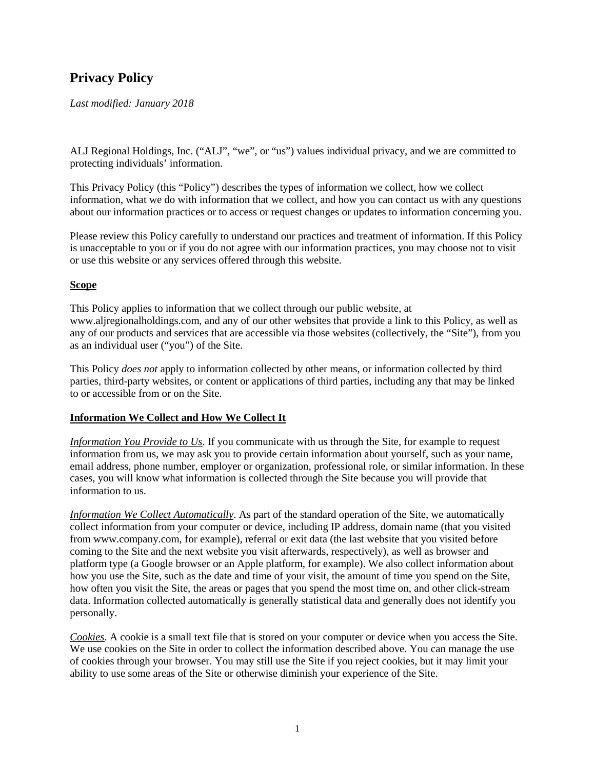# **Privacy Policy**

#### *Last modified: January 2018*

ALJ Regional Holdings, Inc. ("ALJ", "we", or "us") values individual privacy, and we are committed to protecting individuals' information.

This Privacy Policy (this "Policy") describes the types of information we collect, how we collect information, what we do with information that we collect, and how you can contact us with any questions about our information practices or to access or request changes or updates to information concerning you.

Please review this Policy carefully to understand our practices and treatment of information. If this Policy is unacceptable to you or if you do not agree with our information practices, you may choose not to visit or use this website or any services offered through this website.

#### **Scope**

This Policy applies to information that we collect through our public website, at www.aljregionalholdings.com, and any of our other websites that provide a link to this Policy, as well as any of our products and services that are accessible via those websites (collectively, the "Site"), from you as an individual user ("you") of the Site.

This Policy *does not* apply to information collected by other means, or information collected by third parties, third-party websites, or content or applications of third parties, including any that may be linked to or accessible from or on the Site.

#### **Information We Collect and How We Collect It**

*Information You Provide to Us*. If you communicate with us through the Site, for example to request information from us, we may ask you to provide certain information about yourself, such as your name, email address, phone number, employer or organization, professional role, or similar information. In these cases, you will know what information is collected through the Site because you will provide that information to us.

*Information We Collect Automatically*. As part of the standard operation of the Site, we automatically collect information from your computer or device, including IP address, domain name (that you visited from www.company.com, for example), referral or exit data (the last website that you visited before coming to the Site and the next website you visit afterwards, respectively), as well as browser and platform type (a Google browser or an Apple platform, for example). We also collect information about how you use the Site, such as the date and time of your visit, the amount of time you spend on the Site, how often you visit the Site, the areas or pages that you spend the most time on, and other click-stream data. Information collected automatically is generally statistical data and generally does not identify you personally.

*Cookies*. A cookie is a small text file that is stored on your computer or device when you access the Site. We use cookies on the Site in order to collect the information described above. You can manage the use of cookies through your browser. You may still use the Site if you reject cookies, but it may limit your ability to use some areas of the Site or otherwise diminish your experience of the Site.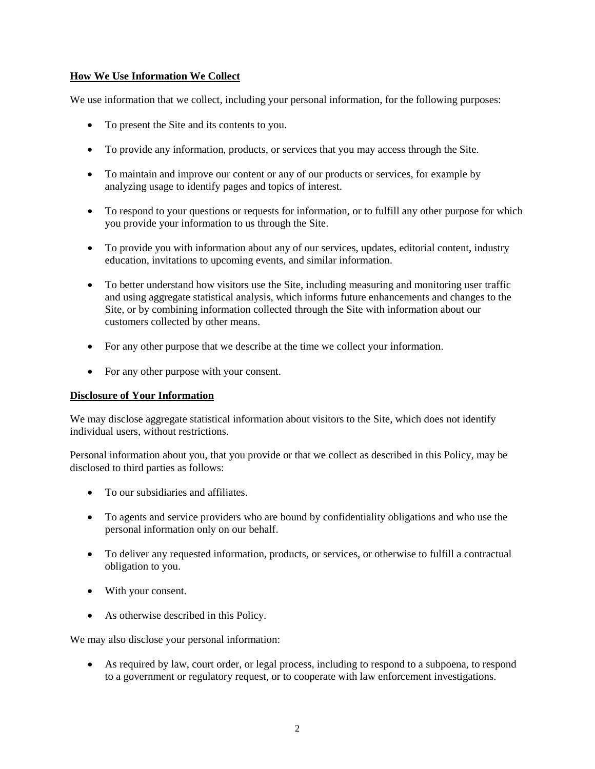### **How We Use Information We Collect**

We use information that we collect, including your personal information, for the following purposes:

- To present the Site and its contents to you.
- To provide any information, products, or services that you may access through the Site.
- To maintain and improve our content or any of our products or services, for example by analyzing usage to identify pages and topics of interest.
- To respond to your questions or requests for information, or to fulfill any other purpose for which you provide your information to us through the Site.
- To provide you with information about any of our services, updates, editorial content, industry education, invitations to upcoming events, and similar information.
- To better understand how visitors use the Site, including measuring and monitoring user traffic and using aggregate statistical analysis, which informs future enhancements and changes to the Site, or by combining information collected through the Site with information about our customers collected by other means.
- For any other purpose that we describe at the time we collect your information.
- For any other purpose with your consent.

#### **Disclosure of Your Information**

We may disclose aggregate statistical information about visitors to the Site, which does not identify individual users, without restrictions.

Personal information about you, that you provide or that we collect as described in this Policy, may be disclosed to third parties as follows:

- To our subsidiaries and affiliates.
- To agents and service providers who are bound by confidentiality obligations and who use the personal information only on our behalf.
- To deliver any requested information, products, or services, or otherwise to fulfill a contractual obligation to you.
- With your consent.
- As otherwise described in this Policy.

We may also disclose your personal information:

• As required by law, court order, or legal process, including to respond to a subpoena, to respond to a government or regulatory request, or to cooperate with law enforcement investigations.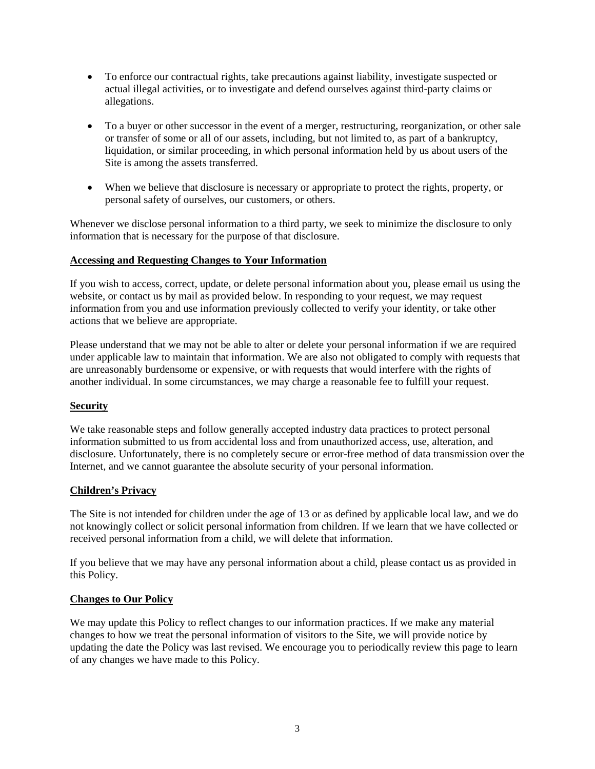- To enforce our contractual rights, take precautions against liability, investigate suspected or actual illegal activities, or to investigate and defend ourselves against third-party claims or allegations.
- To a buyer or other successor in the event of a merger, restructuring, reorganization, or other sale or transfer of some or all of our assets, including, but not limited to, as part of a bankruptcy, liquidation, or similar proceeding, in which personal information held by us about users of the Site is among the assets transferred.
- When we believe that disclosure is necessary or appropriate to protect the rights, property, or personal safety of ourselves, our customers, or others.

Whenever we disclose personal information to a third party, we seek to minimize the disclosure to only information that is necessary for the purpose of that disclosure.

#### **Accessing and Requesting Changes to Your Information**

If you wish to access, correct, update, or delete personal information about you, please email us using the website, or contact us by mail as provided below. In responding to your request, we may request information from you and use information previously collected to verify your identity, or take other actions that we believe are appropriate.

Please understand that we may not be able to alter or delete your personal information if we are required under applicable law to maintain that information. We are also not obligated to comply with requests that are unreasonably burdensome or expensive, or with requests that would interfere with the rights of another individual. In some circumstances, we may charge a reasonable fee to fulfill your request.

## **Security**

We take reasonable steps and follow generally accepted industry data practices to protect personal information submitted to us from accidental loss and from unauthorized access, use, alteration, and disclosure. Unfortunately, there is no completely secure or error-free method of data transmission over the Internet, and we cannot guarantee the absolute security of your personal information.

#### **Children's Privacy**

The Site is not intended for children under the age of 13 or as defined by applicable local law, and we do not knowingly collect or solicit personal information from children. If we learn that we have collected or received personal information from a child, we will delete that information.

If you believe that we may have any personal information about a child, please contact us as provided in this Policy.

#### **Changes to Our Policy**

We may update this Policy to reflect changes to our information practices. If we make any material changes to how we treat the personal information of visitors to the Site, we will provide notice by updating the date the Policy was last revised. We encourage you to periodically review this page to learn of any changes we have made to this Policy.